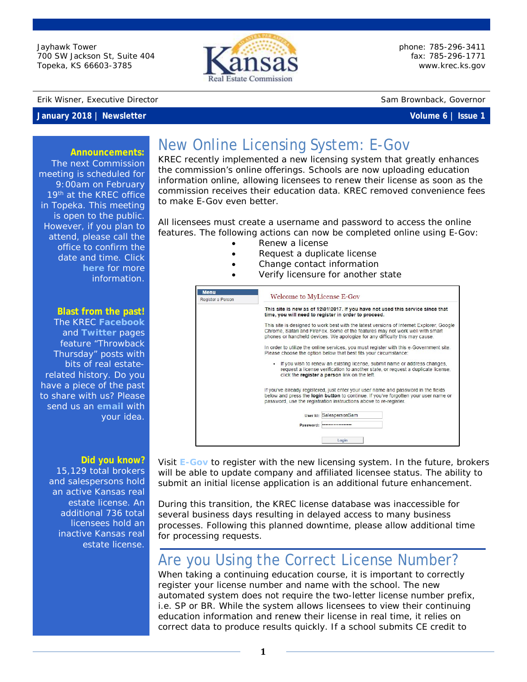Jayhawk Tower 700 SW Jackson St, Suite 404 Topeka, KS 66603-3785



phone: 785-296-3411 fax: 785-296-1771 [www.krec.ks.gov](http://www.krec.ks.gov/)

### Erik Wisner, Executive Director Sam Brownback, Governor

## **January 2018 | Newsletter Volume 6 | Issue 1**

## **Announcements:**

The next Commission meeting is scheduled for 9:00am on February 19<sup>th</sup> at the KREC office in Topeka. This meeting is open to the public. However, if you plan to attend, please call the office to confirm the date and time. Click **[here](http://krec.ks.gov/commission/commission-meetings)** for more information.

### **Blast from the past!**

The KREC **[Facebook](http://www.facebook.com/kansasrealestatecommission)** and **[Twitter](https://twitter.com/KSRealEstateCom)** pages feature "Throwback Thursday" posts with bits of real estaterelated history. Do you have a piece of the past to share with us? Please send us an **[email](mailto:amber.nutt@ks.gov?subject=Newsletter%20Idea)** with your idea.

### **Did you know?**

15,129 total brokers and salespersons hold an active Kansas real estate license. An additional 736 total licensees hold an inactive Kansas real estate license.

# New Online Licensing System: E-Gov

KREC recently implemented a new licensing system that greatly enhances the commission's online offerings. Schools are now uploading education information online, allowing licensees to renew their license as soon as the commission receives their education data. KREC removed convenience fees to make E-Gov even better.

All licensees must create a username and password to access the online features. The following actions can now be completed online using E-Gov:

- Renew a license
	- Request a duplicate license
- Change contact information
- Verify licensure for another state

| <b>Menu</b><br>Register a Person | Welcome to MyLicense E-Gov<br>This site is new as of 12\01\2017. If you have not used this service since that<br>time, you will need to register in order to proceed.<br>This site is designed to work best with the latest versions of Internet Explorer, Google<br>Chrome, Safari and FireFox. Some of the features may not work well with smart<br>phones or handheld devices. We apologize for any difficulty this may cause.<br>In order to utilize the online services, you must register with this e-Government site.<br>Please choose the option below that best fits your circumstance:<br>. If you wish to renew an existing license, submit name or address changes,<br>request a license verification to another state, or request a duplicate license,<br>click the register a person link on the left. |  |  |
|----------------------------------|----------------------------------------------------------------------------------------------------------------------------------------------------------------------------------------------------------------------------------------------------------------------------------------------------------------------------------------------------------------------------------------------------------------------------------------------------------------------------------------------------------------------------------------------------------------------------------------------------------------------------------------------------------------------------------------------------------------------------------------------------------------------------------------------------------------------|--|--|
|                                  |                                                                                                                                                                                                                                                                                                                                                                                                                                                                                                                                                                                                                                                                                                                                                                                                                      |  |  |
|                                  |                                                                                                                                                                                                                                                                                                                                                                                                                                                                                                                                                                                                                                                                                                                                                                                                                      |  |  |
|                                  |                                                                                                                                                                                                                                                                                                                                                                                                                                                                                                                                                                                                                                                                                                                                                                                                                      |  |  |
|                                  |                                                                                                                                                                                                                                                                                                                                                                                                                                                                                                                                                                                                                                                                                                                                                                                                                      |  |  |
|                                  | If you've already registered, just enter your user name and password in the fields<br>below and press the login button to continue. If you've forgotten your user name or<br>password, use the registration instructions above to re-register.                                                                                                                                                                                                                                                                                                                                                                                                                                                                                                                                                                       |  |  |
|                                  | User Id: SalespersonSam                                                                                                                                                                                                                                                                                                                                                                                                                                                                                                                                                                                                                                                                                                                                                                                              |  |  |
|                                  | Password: *****************                                                                                                                                                                                                                                                                                                                                                                                                                                                                                                                                                                                                                                                                                                                                                                                          |  |  |

Visit **[E-Gov](https://licensing.ks.gov/EGOV_KREC)** to register with the new licensing system. In the future, brokers will be able to update company and affiliated licensee status. The ability to submit an initial license application is an additional future enhancement.

During this transition, the KREC license database was inaccessible for several business days resulting in delayed access to many business processes. Following this planned downtime, please allow additional time for processing requests.

# Are you Using the Correct License Number?

When taking a continuing education course, it is important to correctly register your license number and name with the school. The new automated system does not require the two-letter license number prefix, i.e. SP or BR. While the system allows licensees to view their continuing education information and renew their license in real time, it relies on correct data to produce results quickly. If a school submits CE credit to